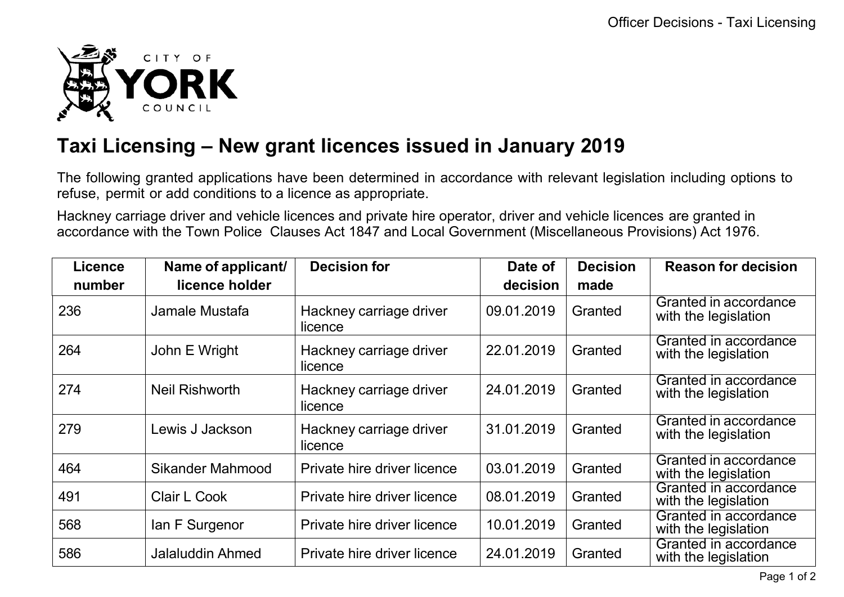

## **Taxi Licensing – New grant licences issued in January 2019**

The following granted applications have been determined in accordance with relevant legislation including options to refuse, permit or add conditions to a licence as appropriate.

Hackney carriage driver and vehicle licences and private hire operator, driver and vehicle licences are granted in accordance with the Town Police Clauses Act 1847 and Local Government (Miscellaneous Provisions) Act 1976.

| <b>Licence</b> | Name of applicant/      | <b>Decision for</b>                | Date of    | <b>Decision</b> | <b>Reason for decision</b>                    |
|----------------|-------------------------|------------------------------------|------------|-----------------|-----------------------------------------------|
| number         | licence holder          |                                    | decision   | made            |                                               |
| 236            | Jamale Mustafa          | Hackney carriage driver<br>licence | 09.01.2019 | Granted         | Granted in accordance<br>with the legislation |
| 264            | John E Wright           | Hackney carriage driver<br>licence | 22.01.2019 | Granted         | Granted in accordance<br>with the legislation |
| 274            | <b>Neil Rishworth</b>   | Hackney carriage driver<br>licence | 24.01.2019 | Granted         | Granted in accordance<br>with the legislation |
| 279            | Lewis J Jackson         | Hackney carriage driver<br>licence | 31.01.2019 | Granted         | Granted in accordance<br>with the legislation |
| 464            | <b>Sikander Mahmood</b> | Private hire driver licence        | 03.01.2019 | Granted         | Granted in accordance<br>with the legislation |
| 491            | Clair L Cook            | Private hire driver licence        | 08.01.2019 | Granted         | Granted in accordance<br>with the legislation |
| 568            | lan F Surgenor          | Private hire driver licence        | 10.01.2019 | Granted         | Granted in accordance<br>with the legislation |
| 586            | <b>Jalaluddin Ahmed</b> | Private hire driver licence        | 24.01.2019 | Granted         | Granted in accordance<br>with the legislation |